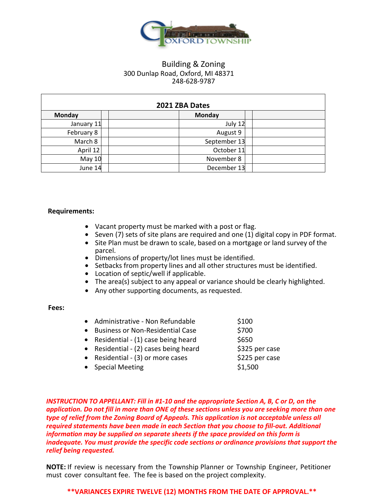

# Building & Zoning 300 Dunlap Road, Oxford, MI 48371 248-628-9787

| 2021 ZBA Dates |              |  |  |
|----------------|--------------|--|--|
| Monday         | Monday       |  |  |
| January 11     | July 12      |  |  |
| February 8     | August 9     |  |  |
| March 8        | September 13 |  |  |
| April 12       | October 11   |  |  |
| <b>May 10</b>  | November 8   |  |  |
| June 14        | December 13  |  |  |

## **Requirements:**

- Vacant property must be marked with a post or flag.
- Seven (7) sets of site plans are required and one (1) digital copy in PDF format.
- Site Plan must be drawn to scale, based on a mortgage or land survey of the parcel.
- Dimensions of property/lot lines must be identified.
- Setbacks from property lines and all other structures must be identified.
- Location of septic/well if applicable.
- The area(s) subject to any appeal or variance should be clearly highlighted.
- Any other supporting documents, as requested.

#### **Fees:**

| Administrative - Non Refundable         | \$100 |
|-----------------------------------------|-------|
| <b>Business or Non-Residential Case</b> | \$700 |

- Residential  $(1)$  case being heard  $$650$
- Residential  $(2)$  cases being heard  $\overline{\phantom{3}}$  \$325 per case
- Residential  $-$  (3) or more cases  $\frac{1}{225}$  per case
	-
- Special Meeting **\$1,500**
- 

*INSTRUCTION TO APPELLANT: Fill in #1-10 and the appropriate Section A, B, C or D, on the application. Do not fill in more than ONE of these sections unless you are seeking more than one type of relief from the Zoning Board of Appeals. This application is not acceptable unless all required statements have been made in each Section that you choose to fill-out. Additional information may be supplied on separate sheets if the space provided on this form is inadequate. You must provide the specific code sections or ordinance provisions that support the relief being requested.*

**NOTE:** If review is necessary from the Township Planner or Township Engineer, Petitioner must cover consultant fee. The fee is based on the project complexity.

## **\*\*VARIANCES EXPIRE TWELVE (12) MONTHS FROM THE DATE OF APPROVAL.\*\***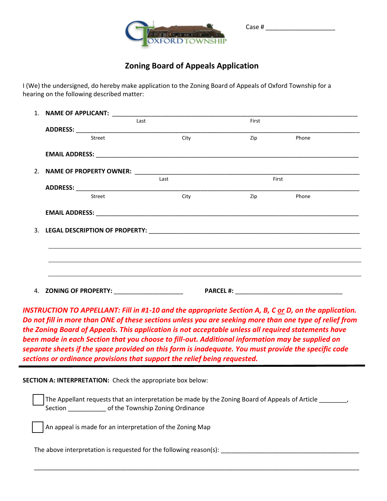

# **Zoning Board of Appeals Application**

Case # \_\_\_\_\_\_\_\_\_\_\_\_\_\_\_\_\_\_\_\_

I (We) the undersigned, do hereby make application to the Zoning Board of Appeals of Oxford Township for a hearing on the following described matter:

| Last                   |      | First |       |  |
|------------------------|------|-------|-------|--|
|                        |      |       |       |  |
| Street                 | City | Zip   | Phone |  |
|                        |      |       |       |  |
|                        |      |       |       |  |
|                        | Last | First |       |  |
| Street                 | City | Zip   | Phone |  |
|                        |      |       |       |  |
|                        |      |       |       |  |
|                        |      |       |       |  |
|                        |      |       |       |  |
|                        |      |       |       |  |
| 4. ZONING OF PROPERTY: |      |       |       |  |

*INSTRUCTION TO APPELLANT: Fill in #1-10 and the appropriate Section A, B, C or D, on the application. Do not fill in more than ONE of these sections unless you are seeking more than one type of relief from the Zoning Board of Appeals. This application is not acceptable unless all required statements have been made in each Section that you choose to fill-out. Additional information may be supplied on separate sheets if the space provided on this form is inadequate. You must provide the specific code sections or ordinance provisions that support the relief being requested.*

**SECTION A: INTERPRETATION:** Check the appropriate box below:

 The Appellant requests that an interpretation be made by the Zoning Board of Appeals of Article \_\_\_\_\_\_\_\_, Section \_\_\_\_\_\_\_\_\_\_\_ of the Township Zoning Ordinance

\_\_\_\_\_\_\_\_\_\_\_\_\_\_\_\_\_\_\_\_\_\_\_\_\_\_\_\_\_\_\_\_\_\_\_\_\_\_\_\_\_\_\_\_\_\_\_\_\_\_\_\_\_\_\_\_\_\_\_\_\_\_\_\_\_\_\_\_\_\_\_\_\_\_\_\_\_\_\_\_\_\_\_\_\_\_\_\_\_\_\_\_\_\_

An appeal is made for an interpretation of the Zoning Map

The above interpretation is requested for the following reason(s): \_\_\_\_\_\_\_\_\_\_\_\_\_\_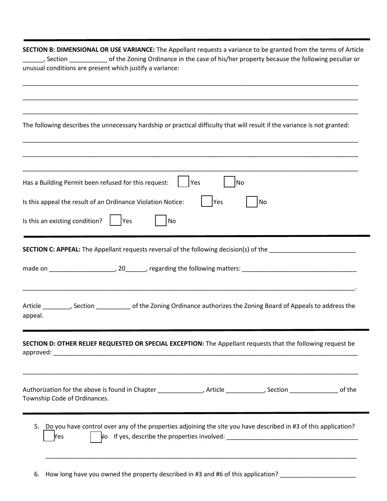|                                | SECTION B: DIMENSIONAL OR USE VARIANCE: The Appellant requests a variance to be granted from the terms of Article<br>Section _____________ of the Zoning Ordinance in the case of his/her property because the following peculiar or      |
|--------------------------------|-------------------------------------------------------------------------------------------------------------------------------------------------------------------------------------------------------------------------------------------|
|                                | unusual conditions are present which justify a variance:                                                                                                                                                                                  |
|                                |                                                                                                                                                                                                                                           |
|                                |                                                                                                                                                                                                                                           |
|                                | The following describes the unnecessary hardship or practical difficulty that will result if the variance is not granted:                                                                                                                 |
|                                |                                                                                                                                                                                                                                           |
|                                | Has a Building Permit been refused for this request:<br>Yes<br>No                                                                                                                                                                         |
|                                | Is this appeal the result of an Ordinance Violation Notice:<br>Yes<br>No                                                                                                                                                                  |
| Is this an existing condition? | <b>Yes</b><br>No                                                                                                                                                                                                                          |
|                                | <b>SECTION C: APPEAL:</b> The Appellant requests reversal of the following decision(s) of the _______________________                                                                                                                     |
|                                |                                                                                                                                                                                                                                           |
| appeal.                        | Article ________, Section ______________ of the Zoning Ordinance authorizes the Zoning Board of Appeals to address the                                                                                                                    |
|                                | SECTION D: OTHER RELIEF REQUESTED OR SPECIAL EXCEPTION: The Appellant requests that the following request be                                                                                                                              |
| Township Code of Ordinances.   | <u> 1989 - Johann John Stoff, deutscher Stoffen und der Stoffen und der Stoffen und der Stoffen und der Stoffen</u><br>Authorization for the above is found in Chapter ______________, Article __________, Section _______________ of the |
|                                |                                                                                                                                                                                                                                           |

5. Do you have control over any of the properties adjoining the site you have described in #3 of this application? ☐ Yes ☐ No If yes, describe the properties involved: \_\_\_\_\_\_\_\_\_\_\_\_\_\_\_\_\_\_\_\_\_\_\_\_\_\_\_\_\_\_\_\_\_\_\_\_\_\_

\_\_\_\_\_\_\_\_\_\_\_\_\_\_\_\_\_\_\_\_\_\_\_\_\_\_\_\_\_\_\_\_\_\_\_\_\_\_\_\_\_\_\_\_\_\_\_\_\_\_\_\_\_\_\_\_\_\_\_\_\_\_\_\_\_\_\_\_\_\_\_\_\_\_\_\_\_\_\_\_\_\_\_\_\_\_\_\_\_\_

6. How long have you owned the property described in #3 and #6 of this application? \_\_\_\_\_\_\_\_\_\_\_\_\_\_\_\_\_\_\_\_\_\_\_\_\_\_